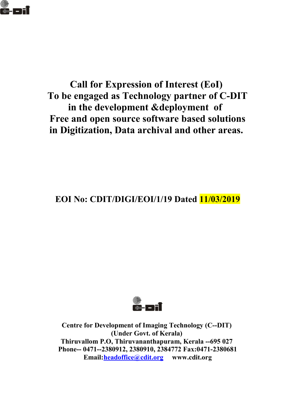

# **Call for Expression of Interest (EoI) To be engaged as Technology partner of C-DIT in the development &deployment of Free and open source software based solutions in Digitization, Data archival and other areas.**

**EOI No: CDIT/DIGI/EOI/1/19 Dated 11/03/2019**



**Centre for Development of Imaging Technology (C--DIT) (Under Govt. of Kerala) Thiruvallom P.O, Thiruvananthapuram, Kerala --695 027 Phone-- 0471--2380912, 2380910, 2384772 Fax:0471-2380681 Email[:headoffice@cdit.org](mailto:headoffice@cdit.org) www.cdit.org**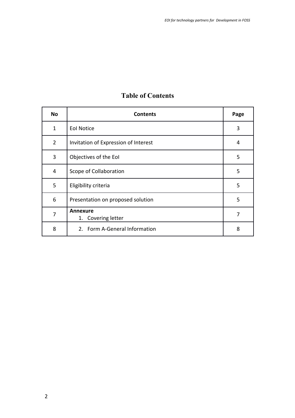| <b>No</b>      | <b>Contents</b>                       | Page |
|----------------|---------------------------------------|------|
| 1              | <b>Eol Notice</b>                     | 3    |
| $\overline{2}$ | Invitation of Expression of Interest  | 4    |
| 3              | Objectives of the EoI                 | 5    |
| 4              | Scope of Collaboration                | 5    |
| 5              | Eligibility criteria                  | 5    |
| 6              | Presentation on proposed solution     | 5    |
| $\overline{7}$ | <b>Annexure</b><br>1. Covering letter | 7    |
| 8              | 2. Form A-General Information         | 8    |

# **Table of Contents**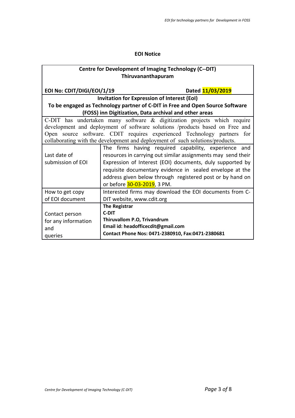#### **EOI Notice**

| <b>Centre for Development of Imaging Technology (C--DIT)</b><br>Thiruvananthapuram |                                    |                                                              |  |  |  |
|------------------------------------------------------------------------------------|------------------------------------|--------------------------------------------------------------|--|--|--|
|                                                                                    |                                    |                                                              |  |  |  |
| EOI No: CDIT/DIGI/EOI/1/19                                                         | Dated 11/03/2019                   |                                                              |  |  |  |
| <b>Invitation for Expression of Interest (EoI)</b>                                 |                                    |                                                              |  |  |  |
| To be engaged as Technology partner of C-DIT in Free and Open Source Software      |                                    |                                                              |  |  |  |
| (FOSS) inn Digitization, Data archival and other areas                             |                                    |                                                              |  |  |  |
| C-DIT has undertaken many software $\&$ digitization projects which require        |                                    |                                                              |  |  |  |
| development and deployment of software solutions /products based on Free and       |                                    |                                                              |  |  |  |
| Open source software. CDIT requires experienced Technology partners for            |                                    |                                                              |  |  |  |
| collaborating with the development and deployment of such solutions/products.      |                                    |                                                              |  |  |  |
|                                                                                    |                                    | The firms having required capability, experience and         |  |  |  |
| Last date of                                                                       |                                    | resources in carrying out similar assignments may send their |  |  |  |
| submission of EOI                                                                  |                                    | Expression of Interest (EOI) documents, duly supported by    |  |  |  |
|                                                                                    |                                    | requisite documentary evidence in sealed envelope at the     |  |  |  |
|                                                                                    |                                    | address given below through registered post or by hand on    |  |  |  |
|                                                                                    | or before 30-03-2019, 3 PM.        |                                                              |  |  |  |
| How to get copy                                                                    |                                    | Interested firms may download the EOI documents from C-      |  |  |  |
| of EOI document                                                                    | DIT website, www.cdit.org          |                                                              |  |  |  |
|                                                                                    | <b>The Registrar</b>               |                                                              |  |  |  |
| Contact person                                                                     | <b>C-DIT</b>                       |                                                              |  |  |  |
| for any information                                                                | Thiruvallom P.O, Trivandrum        |                                                              |  |  |  |
| and                                                                                | Email id: headofficecdit@gmail.com |                                                              |  |  |  |
| queries                                                                            |                                    | Contact Phone Nos: 0471-2380910, Fax:0471-2380681            |  |  |  |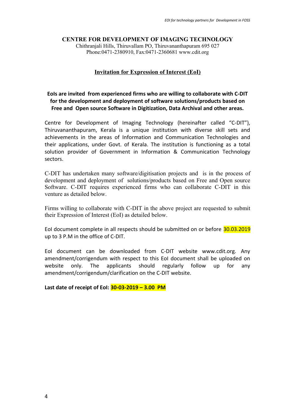#### **CENTRE FOR DEVELOPMENT OF IMAGING TECHNOLOGY**

Chithranjali Hills, Thiruvallam PO, Thiruvananthapuram 695 027 Phone:0471-2380910, Fax:0471-2360681 www.cdit.org

#### **Invitation for Expression of Interest (EoI)**

#### **EoIs are invited from experienced firms who are willing to collaborate with C-DIT for the development and deployment of software solutions/products based on Free and Open source Software in Digitization, Data Archival and other areas.**

Centre for Development of Imaging Technology (hereinafter called "C-DIT"), Thiruvananthapuram, Kerala is a unique institution with diverse skill sets and achievements in the areas of Information and Communication Technologies and their applications, under Govt. of Kerala. The institution is functioning as a total solution provider of Government in Information & Communication Technology sectors.

C-DIT has undertaken many software/digitisation projects and is in the process of development and deployment of solutions/products based on Free and Open source Software. C-DIT requires experienced firms who can collaborate C-DIT in this venture as detailed below.

Firms willing to collaborate with C-DIT in the above project are requested to submit their Expression of Interest (EoI) as detailed below.

EoI document complete in all respects should be submitted on or before 30.03.2019 up to 3 P.M in the office of C-DIT.

EoI document can be downloaded from C-DIT website www.cdit.org. Any amendment/corrigendum with respect to this EoI document shall be uploaded on website only. The applicants should regularly follow up for any amendment/corrigendum/clarification on the C-DIT website.

**Last date of receipt of EoI: 30-03-2019 – 3.00 PM**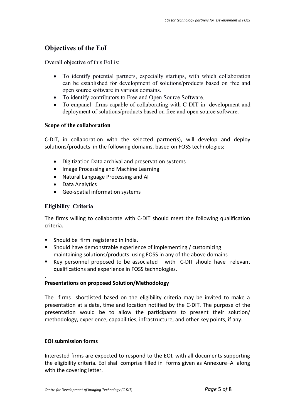# **Objectives of the EoI**

Overall objective of this EoI is:

- To identify potential partners, especially startups, with which collaboration can be established for development of solutions/products based on free and open source software in various domains.
- To identify contributors to Free and Open Source Software.
- To empanel firms capable of collaborating with C-DIT in development and deployment of solutions/products based on free and open source software.

#### **Scope of the collaboration**

C-DIT, in collaboration with the selected partner(s), will develop and deploy solutions/products in the following domains, based on FOSS technologies;

- Digitization Data archival and preservation systems
- Image Processing and Machine Learning
- Natural Language Processing and AI
- Data Analytics
- Geo-spatial information systems

#### **Eligibility Criteria**

.

The firms willing to collaborate with C-DIT should meet the following qualification criteria.

- **Should be firm registered in India.**
- Should have demonstrable experience of implementing / customizing maintaining solutions/products using FOSS in any of the above domains
- Key personnel proposed to be associated with C-DIT should have relevant qualifications and experience in FOSS technologies.

#### **Presentations on proposed Solution/Methodology**

The firms shortlisted based on the eligibility criteria may be invited to make a presentation at a date, time and location notified by the C-DIT. The purpose of the presentation would be to allow the participants to present their solution/ methodology, experience, capabilities, infrastructure, and other key points, if any.

#### **EOI submission forms**

Interested firms are expected to respond to the EOI, with all documents supporting the eligibility criteria. EoI shall comprise filled in forms given as Annexure–A along with the covering letter.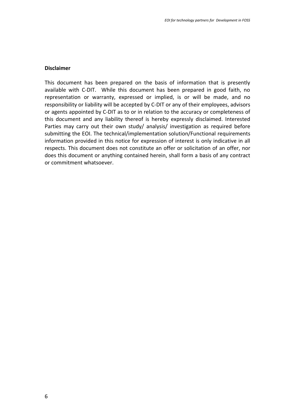#### **Disclaimer**

This document has been prepared on the basis of information that is presently available with C-DIT. While this document has been prepared in good faith, no representation or warranty, expressed or implied, is or will be made, and no responsibility or liability will be accepted by C-DIT or any of their employees, advisors or agents appointed by C-DIT as to or in relation to the accuracy or completeness of this document and any liability thereof is hereby expressly disclaimed. Interested Parties may carry out their own study/ analysis/ investigation as required before submitting the EOI. The technical/implementation solution/Functional requirements information provided in this notice for expression of interest is only indicative in all respects. This document does not constitute an offer or solicitation of an offer, nor does this document or anything contained herein, shall form a basis of any contract or commitment whatsoever.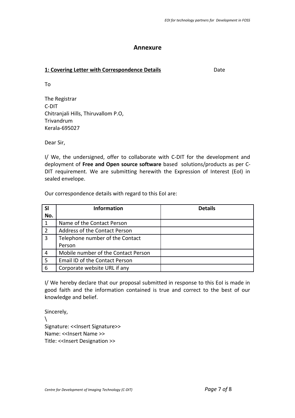#### **Annexure**

#### **1: Covering Letter with Correspondence Details Covering Letter with Correspondence Details**

To

The Registrar C-DIT Chitranjali Hills, Thiruvallom P.O, **Trivandrum** Kerala-695027

Dear Sir,

I/ We, the undersigned, offer to collaborate with C-DIT for the development and deployment of **Free and Open source software** based solutions/products as per C-DIT requirement. We are submitting herewith the Expression of Interest (EoI) in sealed envelope.

Our correspondence details with regard to this EoI are:

| SI  | <b>Information</b>                  | <b>Details</b> |
|-----|-------------------------------------|----------------|
| No. |                                     |                |
|     | Name of the Contact Person          |                |
| 2   | Address of the Contact Person       |                |
| 3   | Telephone number of the Contact     |                |
|     | Person                              |                |
| 4   | Mobile number of the Contact Person |                |
| 5   | Email ID of the Contact Person      |                |
| 6   | Corporate website URL if any        |                |

I/ We hereby declare that our proposal submitted in response to this EoI is made in good faith and the information contained is true and correct to the best of our knowledge and belief.

Sincerely,  $\lambda$ Signature: << Insert Signature>> Name: <<Insert Name >> Title: << Insert Designation >>